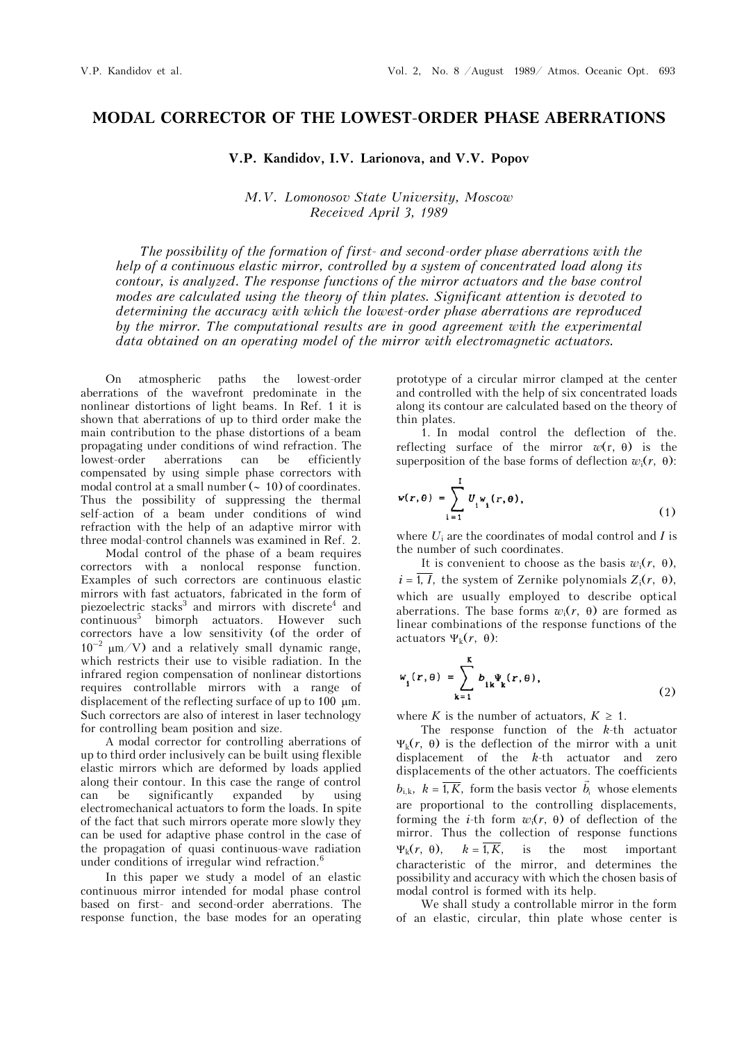## **MODAL CORRECTOR OF THE LOWEST-ORDER PHASE ABERRATIONS**

## **V.P. Kandidov, I.V. Larionova, and V.V. Popov**

## *M.V. Lomonosov State University, Moscow Received April 3, 1989*

*The possibility of the formation of first- and second-order phase aberrations with the help of a continuous elastic mirror, controlled by a system of concentrated load along its contour, is analyzed. The response functions of the mirror actuators and the base control modes are calculated using the theory of thin plates. Significant attention is devoted to determining the accuracy with which the lowest-order phase aberrations are reproduced by the mirror. The computational results are in good agreement with the experimental data obtained on an operating model of the mirror with electromagnetic actuators.*

On atmospheric paths the lowest-order aberrations of the wavefront predominate in the nonlinear distortions of light beams. In Ref. 1 it is shown that aberrations of up to third order make the main contribution to the phase distortions of a beam propagating under conditions of wind refraction. The<br>lowest-order aberrations can be efficiently lowest-order aberrations can be efficiently compensated by using simple phase correctors with modal control at a small number  $($   $\sim$  10) of coordinates. Thus the possibility of suppressing the thermal self-action of a beam under conditions of wind refraction with the help of an adaptive mirror with three modal-control channels was examined in Ref. 2.

Modal control of the phase of a beam requires correctors with a nonlocal response function. Examples of such correctors are continuous elastic mirrors with fast actuators, fabricated in the form of piezoelectric stacks<sup>3</sup> and mirrors with discrete<sup>4</sup> and continuous5 bimorph actuators. However such correctors have a low sensitivity (of the order of  $10^{-2}$   $\mu$ m/V) and a relatively small dynamic range, which restricts their use to visible radiation. In the infrared region compensation of nonlinear distortions requires controllable mirrors with a range of displacement of the reflecting surface of up to  $100 \mu m$ . Such correctors are also of interest in laser technology for controlling beam position and size.

A modal corrector for controlling aberrations of up to third order inclusively can be built using flexible elastic mirrors which are deformed by loads applied along their contour. In this case the range of control can be significantly expanded by using electromechanical actuators to form the loads. In spite of the fact that such mirrors operate more slowly they can be used for adaptive phase control in the case of the propagation of quasi continuous-wave radiation under conditions of irregular wind refraction.<sup>6</sup>

In this paper we study a model of an elastic continuous mirror intended for modal phase control based on first- and second-order aberrations. The response function, the base modes for an operating

prototype of a circular mirror clamped at the center and controlled with the help of six concentrated loads along its contour are calculated based on the theory of thin plates.

1. In modal control the deflection of the. reflecting surface of the mirror  $w(r, \theta)$  is the superposition of the base forms of deflection  $w_i(r, \theta)$ :

$$
w(r,\theta) = \sum_{i=1}^{I} U_i w_i(r,\theta), \qquad (1)
$$

where *U*i are the coordinates of modal control and *I* is the number of such coordinates.

It is convenient to choose as the basis  $w_i(r, \theta)$ ,  $i = \overline{1, I}$ , the system of Zernike polynomials  $Z_i(r, \theta)$ , which are usually employed to describe optical aberrations. The base forms  $w_i(r, \theta)$  are formed as linear combinations of the response functions of the actuators  $\Psi_k(r, \theta)$ :

$$
w_{i}(r, \theta) = \sum_{k=1}^{K} b_{ik} \Psi_{k}(r, \theta), \qquad (2)
$$

where *K* is the number of actuators,  $K \geq 1$ .

The response function of the *k*-th actuator  $\Psi_{k}(r, \theta)$  is the deflection of the mirror with a unit displacement of the *k*-th actuator and zero displacements of the other actuators. The coefficients  $b_{i,k}$ ,  $k = \overline{1, K}$ , form the basis vector  $\vec{b}_i$  whose elements are proportional to the controlling displacements, forming the *i*-th form  $w_i(r, \theta)$  of deflection of the mirror. Thus the collection of response functions  $\Psi_k(r, \theta)$ ,  $k = \overline{1, K}$ , is the most important characteristic of the mirror, and determines the possibility and accuracy with which the chosen basis of modal control is formed with its help.

We shall study a controllable mirror in the form of an elastic, circular, thin plate whose center is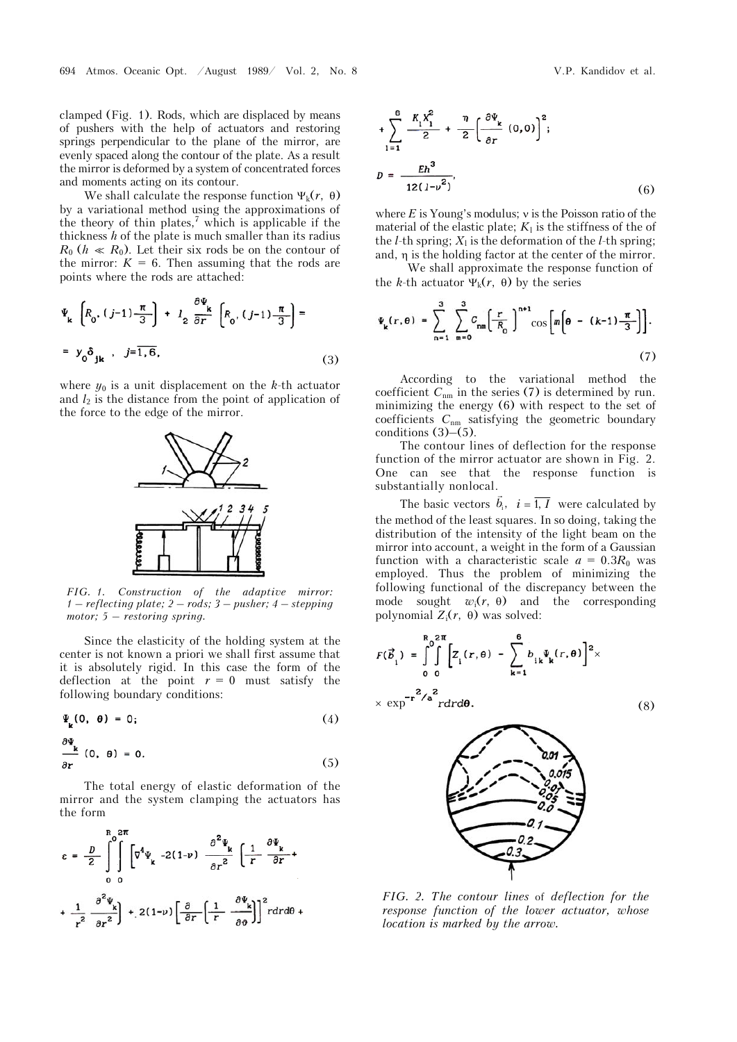clamped (Fig. 1). Rods, which are displaced by means of pushers with the help of actuators and restoring springs perpendicular to the plane of the mirror, are evenly spaced along the contour of the plate. As a result the mirror is deformed by a system of concentrated forces and moments acting on its contour.

We shall calculate the response function  $\Psi_k(r, \theta)$ by a variational method using the approximations of the theory of thin plates,<sup>7</sup> which is applicable if the thickness *h* of the plate is much smaller than its radius  $R_0$  ( $h \ll R_0$ ). Let their six rods be on the contour of the mirror:  $K = 6$ . Then assuming that the rods are points where the rods are attached:

$$
\Psi_{\mathbf{k}}\left[R_{0},\left(j-1\right)\frac{\pi}{3}\right] + l_{2}\frac{\partial\Psi_{\mathbf{k}}}{\partial r}\left[R_{0},\left(j-1\right)\frac{\pi}{3}\right] =
$$
\n
$$
= y_{0}\delta_{\mathbf{j}\mathbf{k}}, \quad j=\overline{1,6},\tag{3}
$$

where  $y_0$  is a unit displacement on the *k*-th actuator and  $l_2$  is the distance from the point of application of the force to the edge of the mirror.



*FIG. 1. Construction of the adaptive mirror: 1 – reflecting plate; 2 – rods; 3 – pusher; 4 – stepping motor; 5 – restoring spring.*

Since the elasticity of the holding system at the center is not known a priori we shall first assume that it is absolutely rigid. In this case the form of the deflection at the point  $r = 0$  must satisfy the following boundary conditions:

$$
\Psi_{\mathbf{k}}(\mathbf{0}, \ \mathbf{\theta}) = \mathbf{0};\tag{4}
$$

$$
\frac{\partial \Psi_{k}}{\partial r} (0, \theta) = 0. \qquad (5)
$$

The total energy of elastic deformation of the mirror and the system clamping the actuators has the form

$$
\varepsilon = \frac{D}{2} \int_{0}^{R_0} \int_{0}^{2\pi} \left[ \nabla^4 \Psi_{\mathbf{k}} \right] - 2(1-\nu) \frac{\partial^2 \Psi_{\mathbf{k}}}{\partial r^2} \left( \frac{1}{r} \frac{\partial \Psi_{\mathbf{k}}}{\partial r} + \frac{1}{r^2} \frac{\partial^2 \Psi_{\mathbf{k}}}{\partial r^2} \right) + 2(1-\nu) \left[ \frac{\partial}{\partial r} \left( \frac{1}{r} \frac{\partial \Psi_{\mathbf{k}}}{\partial \theta} \right) \right]^2 r dr d\theta +
$$

$$
+\sum_{1=1}^{6} \frac{K_1 X_1^2}{2} + \frac{\eta}{2} \left(\frac{\partial \Psi_{k}}{\partial r} (0,0)\right)^2;
$$
  

$$
D = \frac{Eh^3}{12(1-v^2)},
$$
 (6)

where  $E$  is Young's modulus;  $\nu$  is the Poisson ratio of the material of the elastic plate;  $K_1$  is the stiffness of the of the  $l$ -th spring;  $X_l$  is the deformation of the  $l$ -th spring; and,  $\eta$  is the holding factor at the center of the mirror.

We shall approximate the response function of the *k*-th actuator  $\Psi_k(r, \theta)$  by the series

$$
\Psi_{k}(r,\theta) = \sum_{n=1}^{3} \sum_{m=0}^{3} C_{nm} \left( \frac{r}{R_{0}} \right)^{n+1} \cos \left[ m \left( \theta - (k-1) \frac{\pi}{3} \right) \right].
$$
\n(7)

According to the variational method the coefficient  $C_{nm}$  in the series (7) is determined by run. minimizing the energy (6) with respect to the set of coefficients  $C_{nm}$  satisfying the geometric boundary conditions  $(3)$ – $(5)$ .

The contour lines of deflection for the response function of the mirror actuator are shown in Fig. 2. One can see that the response function is substantially nonlocal.

The basic vectors  $\vec{b}_i$ ,  $\vec{i} = \overline{1, I}$  were calculated by the method of the least squares. In so doing, taking the distribution of the intensity of the light beam on the mirror into account, a weight in the form of a Gaussian function with a characteristic scale  $a = 0.3R_0$  was employed. Thus the problem of minimizing the following functional of the discrepancy between the mode sought  $w_i(r, \theta)$  and the corresponding polynomial  $Z_i(r, \theta)$  was solved:

$$
F(\vec{b}_i) = \int_0^R \int_0^{2\pi} \left[ Z_i(r, \theta) - \sum_{k=1}^6 b_{ik} \Psi_k(r, \theta) \right]^2 \times
$$
  
 
$$
\times \exp^{-r^2/a} \frac{1}{r dr d\theta}.
$$
 (8)



*FIG. 2. The contour lines* of *deflection for the response function of the lower actuator, whose location is marked by the arrow.*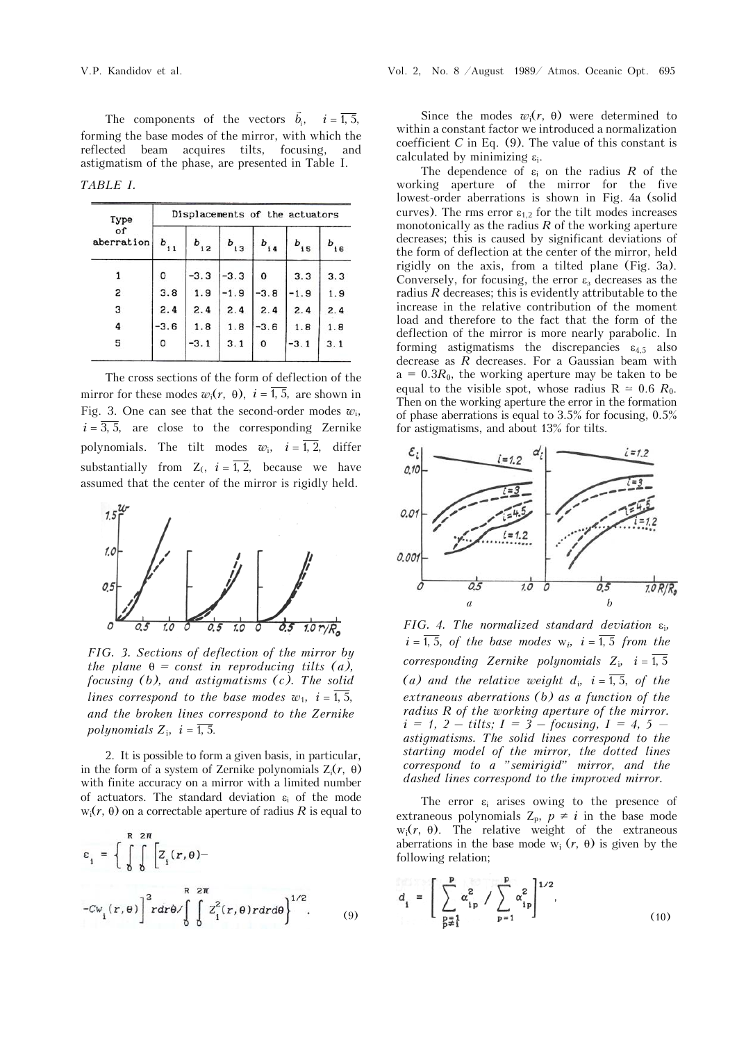The components of the vectors  $\vec{b}_i$ ,  $i = \overline{1, 5}$ , forming the base modes of the mirror, with which the reflected beam acquires tilts, focusing, and astigmatism of the phase, are presented in Table I.

*TABLE I.*

| Type<br>of<br>aberration | Displacements of the actuators |          |          |          |          |          |
|--------------------------|--------------------------------|----------|----------|----------|----------|----------|
|                          | $b_{11}$                       | $b_{12}$ | $b_{13}$ | $b_{14}$ | $b_{15}$ | $b_{16}$ |
|                          | 0                              | $-3.3$   | $-3.3$   | 0        | 3.3      | 3.3      |
| 2                        | 3.8                            | 1.9      | $-1.9$   | $-3.8$   | $-1.9$   | 1.9      |
| з                        | 2.4                            | 2.4      | 2.4      | 2.4      | 2.4      | 2.4      |
| 4                        | $-3.6$                         | 1.8      | 1.8      | $-3.6$   | 1.8      | 1.8      |
| 5                        | 0                              | $-3.1$   | 3.1      | 0        | $-3.1$   | 3.1      |

The cross sections of the form of deflection of the mirror for these modes  $w_i(r, \theta)$ ,  $i = \overline{1, 5}$ , are shown in Fig. 3. One can see that the second-order modes  $w_i$ ,  $i = \overline{3, 5}$ , are close to the corresponding Zernike polynomials. The tilt modes  $w_i$ ,  $i = \overline{1, 2}$ , differ substantially from  $Z_i$ ,  $i = \overline{1, 2}$ , because we have assumed that the center of the mirror is rigidly held.



*FIG. 3. Sections of deflection of the mirror by the plane*  $\theta$  = const in reproducing tilts (a), *focusing (b), and astigmatisms (c). The solid lines correspond to the base modes w<sub>1</sub>,*  $i = \overline{1, 5}$ *, and the broken lines correspond to the Zernike polynomials*  $Z_i$ ,  $i = \overline{1, 5}$ .

2. It is possible to form a given basis, in particular, in the form of a system of Zernike polynomials  $Z_i(r, \theta)$ with finite accuracy on a mirror with a limited number of actuators. The standard deviation  $\varepsilon_i$  of the mode  $w_i(r, \theta)$  on a correctable aperture of radius R is equal to

$$
\varepsilon_{i} = \left\{ \int_{0}^{R} \int_{0}^{2\pi} \left[ Z_{i}(r, \theta) - \right]^{2} r dr \theta / \int_{0}^{R} \int_{0}^{2\pi} Z_{i}^{2}(r, \theta) r dr d\theta \right\}^{1/2}.
$$
 (9)

Since the modes  $w_i(r, \theta)$  were determined to within a constant factor we introduced a normalization coefficient *C* in Eq. (9). The value of this constant is calculated by minimizing  $\varepsilon_i$ .

The dependence of  $\varepsilon_i$  on the radius *R* of the working aperture of the mirror for the five lowest-order aberrations is shown in Fig. 4a (solid curves). The rms error  $\varepsilon_{12}$  for the tilt modes increases monotonically as the radius *R* of the working aperture decreases; this is caused by significant deviations of the form of deflection at the center of the mirror, held rigidly on the axis, from a tilted plane (Fig. 3a). Conversely, for focusing, the error  $\varepsilon$  decreases as the radius *R* decreases; this is evidently attributable to the increase in the relative contribution of the moment load and therefore to the fact that the form of the deflection of the mirror is more nearly parabolic. In forming astigmatisms the discrepancies  $\varepsilon_{4.5}$  also decrease as *R* decreases. For a Gaussian beam with  $a = 0.3R_0$ , the working aperture may be taken to be equal to the visible spot, whose radius  $R \approx 0.6 R_0$ . Then on the working aperture the error in the formation of phase aberrations is equal to 3.5% for focusing, 0.5% for astigmatisms, and about 13% for tilts.



*FIG.* 4. The normalized standard deviation  $\varepsilon_i$ ,  $i = \overline{1, 5}$ , *of the base modes*  $w_i$ ,  $i = \overline{1, 5}$  *from the corresponding Zernike polynomials Z<sub>i</sub>,*  $i = \overline{1, 5}$ (a) and the relative weight  $d_i$ ,  $i = \overline{1, 5}$ , of the *extraneous aberrations (b) as a function of the radius R of the working aperture of the mirror.*   $i = 1, 2 - \text{tilts}$ ;  $I = 3 - \text{focusing}$ ,  $I = 4, 5 - \text{focusing}$ *astigmatisms. The solid lines correspond to the starting model of the mirror, the dotted lines correspond to a "semirigid" mirror, and the dashed lines correspond to the improved mirror.*

The error  $\varepsilon_i$  arises owing to the presence of extraneous polynomials  $Z_p$ ,  $p \neq i$  in the base mode  $w_i(r, \theta)$ . The relative weight of the extraneous aberrations in the base mode  $w_i$  ( $r$ ,  $\theta$ ) is given by the following relation;

$$
d_{i} = \left[ \sum_{\substack{p=1 \ p \neq i}}^{p} \alpha_{ip}^{2} / \sum_{p=1}^{p} \alpha_{ip}^{2} \right]^{1/2},
$$
\n(10)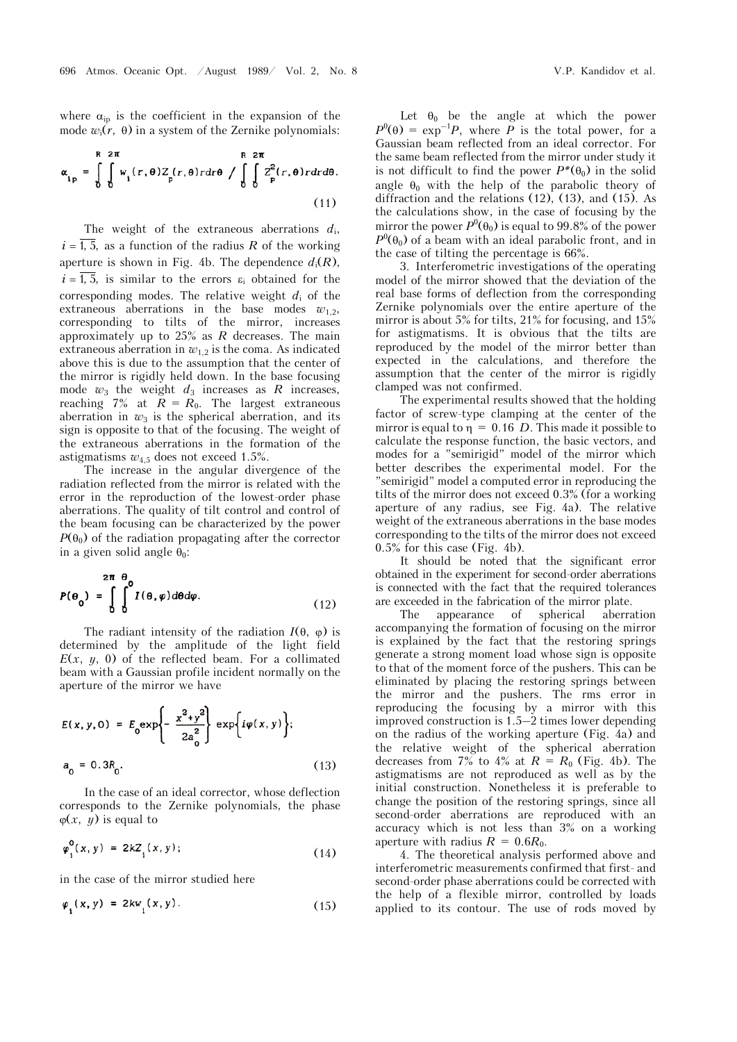where  $\alpha_{ip}$  is the coefficient in the expansion of the mode  $w_i(r, \theta)$  in a system of the Zernike polynomials:

$$
\alpha_{ip} = \int_{0}^{R} \int_{0}^{2\pi} w_i(r, \theta) Z_p(r, \theta) r dr \theta / \int_{0}^{R} \int_{0}^{2\pi} Z_p^2(r, \theta) r dr d\theta.
$$
\n(11)

The weight of the extraneous aberrations *d*i,  $i = \overline{1, 5}$ , as a function of the radius *R* of the working aperture is shown in Fig. 4b. The dependence  $d_i(R)$ ,  $i = \overline{1, 5}$ , is similar to the errors  $\varepsilon_i$  obtained for the corresponding modes. The relative weight  $d_i$  of the extraneous aberrations in the base modes  $w_1$ , corresponding to tilts of the mirror, increases approximately up to 25% as *R* decreases. The main extraneous aberration in  $w_{1,2}$  is the coma. As indicated above this is due to the assumption that the center of the mirror is rigidly held down. In the base focusing mode  $w_3$  the weight  $d_3$  increases as  $R$  increases, reaching 7% at  $\overline{R} = R_0$ . The largest extraneous aberration in  $w_3$  is the spherical aberration, and its sign is opposite to that of the focusing. The weight of the extraneous aberrations in the formation of the astigmatisms  $w_{4.5}$  does not exceed 1.5%.

The increase in the angular divergence of the radiation reflected from the mirror is related with the error in the reproduction of the lowest-order phase aberrations. The quality of tilt control and control of the beam focusing can be characterized by the power  $P(\theta_0)$  of the radiation propagating after the corrector in a given solid angle  $\theta_0$ :

$$
P(\theta_0) = \int_{0}^{2\pi} \int_{0}^{\theta} I(\theta, \varphi) d\theta d\varphi.
$$
 (12)

The radiant intensity of the radiation  $I(\theta, \phi)$  is determined by the amplitude of the light field  $E(x, y, 0)$  of the reflected beam. For a collimated beam with a Gaussian profile incident normally on the aperture of the mirror we have

$$
E(x, y, 0) = E_0 \exp\left\{-\frac{x^2 + y^2}{2a_0^2}\right\} \exp\{i\varphi(x, y)\};
$$
  
\n
$$
a_0 = 0.3R_0.
$$
 (13)

In the case of an ideal corrector, whose deflection corresponds to the Zernike polynomials, the phase  $\varphi(x, y)$  is equal to

$$
\varphi_i^0(x, y) = 2kZ_i(x, y); \tag{14}
$$

in the case of the mirror studied here

$$
\varphi_{i}(x, y) = 2kw_{i}(x, y). \qquad (15)
$$

Let  $\theta_0$  be the angle at which the power  $P^{0}(\theta) = \exp^{-1}P$ , where *P* is the total power, for a Gaussian beam reflected from an ideal corrector. For the same beam reflected from the mirror under study it is not difficult to find the power  $P^*(\theta_0)$  in the solid angle  $\theta_0$  with the help of the parabolic theory of diffraction and the relations  $(12)$ ,  $(13)$ , and  $(15)$ . As the calculations show, in the case of focusing by the mirror the power  $P^0(\theta_0)$  is equal to 99.8% of the power  $P^{0}(\theta_{0})$  of a beam with an ideal parabolic front, and in the case of tilting the percentage is 66%.

3. Interferometric investigations of the operating model of the mirror showed that the deviation of the real base forms of deflection from the corresponding Zernike polynomials over the entire aperture of the mirror is about 5% for tilts, 21% for focusing, and 15% for astigmatisms. It is obvious that the tilts are reproduced by the model of the mirror better than expected in the calculations, and therefore the assumption that the center of the mirror is rigidly clamped was not confirmed.

The experimental results showed that the holding factor of screw-type clamping at the center of the mirror is equal to  $n = 0.16$  *D*. This made it possible to calculate the response function, the basic vectors, and modes for a "semirigid" model of the mirror which better describes the experimental model. For the "semirigid" model a computed error in reproducing the tilts of the mirror does not exceed 0.3% (for a working aperture of any radius, see Fig. 4a). The relative weight of the extraneous aberrations in the base modes corresponding to the tilts of the mirror does not exceed 0.5% for this case (Fig. 4b).

It should be noted that the significant error obtained in the experiment for second-order aberrations is connected with the fact that the required tolerances are exceeded in the fabrication of the mirror plate.

The appearance of spherical aberration accompanying the formation of focusing on the mirror is explained by the fact that the restoring springs generate a strong moment load whose sign is opposite to that of the moment force of the pushers. This can be eliminated by placing the restoring springs between the mirror and the pushers. The rms error in reproducing the focusing by a mirror with this improved construction is 1.5–2 times lower depending on the radius of the working aperture (Fig. 4a) and the relative weight of the spherical aberration decreases from 7% to 4% at  $R = R_0$  (Fig. 4b). The astigmatisms are not reproduced as well as by the initial construction. Nonetheless it is preferable to change the position of the restoring springs, since all second-order aberrations are reproduced with an accuracy which is not less than 3% on a working aperture with radius  $R = 0.6R_0$ .

4. The theoretical analysis performed above and interferometric measurements confirmed that first- and second-order phase aberrations could be corrected with the help of a flexible mirror, controlled by loads applied to its contour. The use of rods moved by